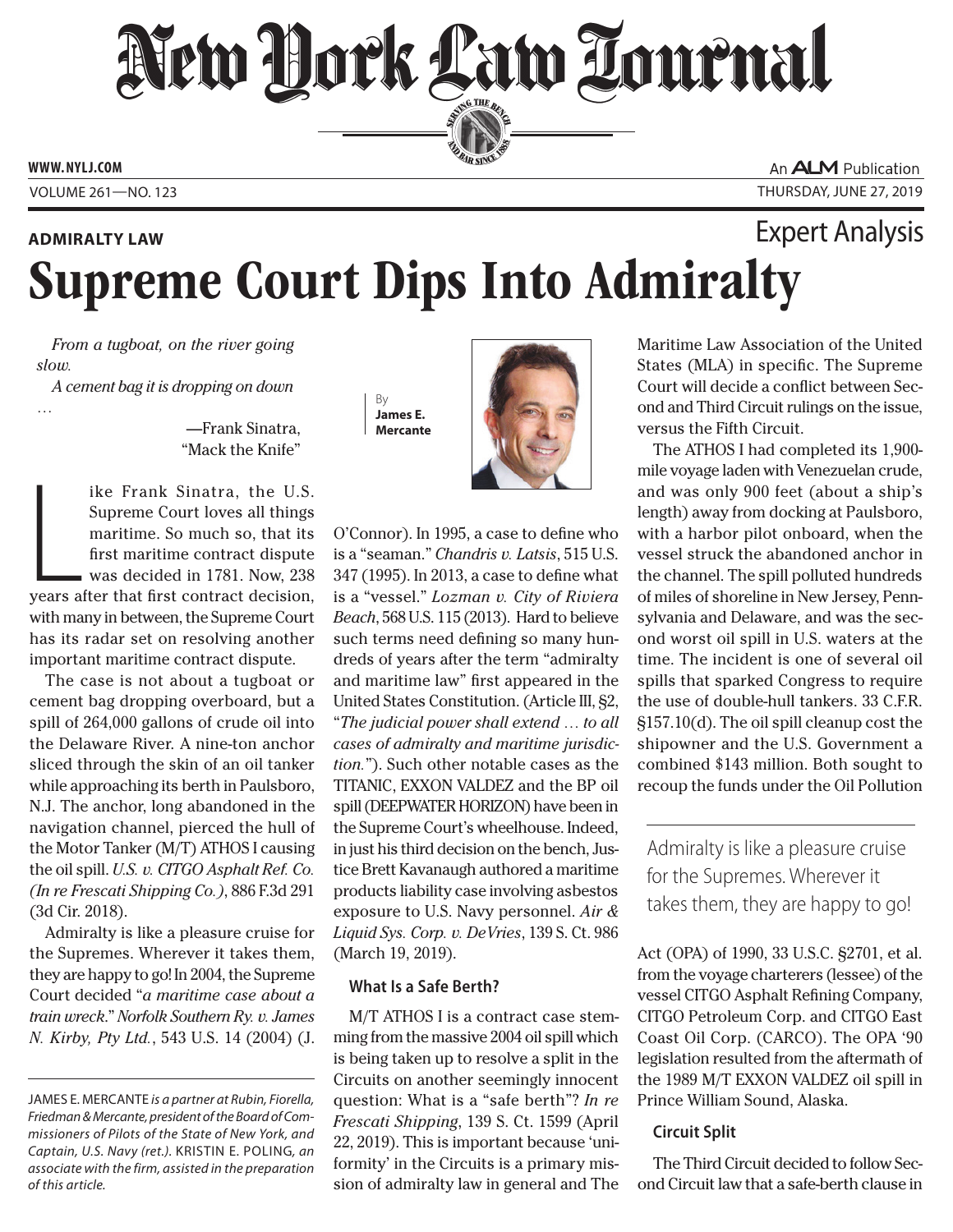# New Hock Law Tournal SERVING THE BEN

**ED BAR SINCE 188** 

**www. NYLJ.com**

An **ALM** Publication Volume 261—NO. 123 Thursday, June 27, 2019

# Supreme Court Dips Into Admiralty **Admiralty Law** Expert Analysis

*From a tugboat, on the river going slow.*

*A cement bag it is dropping on down* 

—Frank Sinatra, "Mack the Knife"

ike Frank Sinatra, the U.S.<br>Supreme Court loves all things<br>maritime. So much so, that its<br>first maritime contract dispute<br>was decided in 1781. Now, 238<br>years after that first contract decision, ike Frank Sinatra, the U.S. Supreme Court loves all things maritime. So much so, that its first maritime contract dispute was decided in 1781. Now, 238 with many in between, the Supreme Court has its radar set on resolving another important maritime contract dispute.

The case is not about a tugboat or cement bag dropping overboard, but a spill of 264,000 gallons of crude oil into the Delaware River. A nine-ton anchor sliced through the skin of an oil tanker while approaching its berth in Paulsboro, N.J. The anchor, long abandoned in the navigation channel, pierced the hull of the Motor Tanker (M/T) ATHOS I causing the oil spill. *U.S. v. CITGO Asphalt Ref. Co. (In re Frescati Shipping Co.)*, 886 F.3d 291 (3d Cir. 2018).

Admiralty is like a pleasure cruise for the Supremes. Wherever it takes them, they are happy to go! In 2004, the Supreme Court decided "*a maritime case about a train wreck*." *Norfolk Southern Ry. v. James N. Kirby, Pty Ltd.*, 543 U.S. 14 (2004) (J.





O'Connor). In 1995, a case to define who is a "seaman." *Chandris v. Latsis*, 515 U.S. 347 (1995). In 2013, a case to define what is a "vessel." *Lozman v. City of Riviera Beach*, 568 U.S. 115 (2013). Hard to believe such terms need defining so many hundreds of years after the term "admiralty and maritime law" first appeared in the United States Constitution. (Article III, §2, "*The judicial power shall extend … to all cases of admiralty and maritime jurisdiction.*"). Such other notable cases as the TITANIC, EXXON VALDEZ and the BP oil spill (DEEPWATER HORIZON) have been in the Supreme Court's wheelhouse. Indeed, in just his third decision on the bench, Justice Brett Kavanaugh authored a maritime products liability case involving asbestos exposure to U.S. Navy personnel. *Air & Liquid Sys. Corp. v. DeVries*, 139 S. Ct. 986 (March 19, 2019).

## **What Is a Safe Berth?**

M/T ATHOS I is a contract case stemming from the massive 2004 oil spill which is being taken up to resolve a split in the Circuits on another seemingly innocent question: What is a "safe berth"? *In re Frescati Shipping*, 139 S. Ct. 1599 (April 22, 2019). This is important because 'uniformity' in the Circuits is a primary mission of admiralty law in general and The

Maritime Law Association of the United States (MLA) in specific. The Supreme Court will decide a conflict between Second and Third Circuit rulings on the issue, versus the Fifth Circuit.

The ATHOS I had completed its 1,900 mile voyage laden with Venezuelan crude, and was only 900 feet (about a ship's length) away from docking at Paulsboro, with a harbor pilot onboard, when the vessel struck the abandoned anchor in the channel. The spill polluted hundreds of miles of shoreline in New Jersey, Pennsylvania and Delaware, and was the second worst oil spill in U.S. waters at the time. The incident is one of several oil spills that sparked Congress to require the use of double-hull tankers. 33 C.F.R. §157.10(d). The oil spill cleanup cost the shipowner and the U.S. Government a combined \$143 million. Both sought to recoup the funds under the Oil Pollution

Admiralty is like a pleasure cruise for the Supremes. Wherever it takes them, they are happy to go!

Act (OPA) of 1990, 33 U.S.C. §2701, et al. from the voyage charterers (lessee) of the vessel CITGO Asphalt Refining Company, CITGO Petroleum Corp. and CITGO East Coast Oil Corp. (CARCO). The OPA '90 legislation resulted from the aftermath of the 1989 M/T EXXON VALDEZ oil spill in Prince William Sound, Alaska.

# **Circuit Split**

The Third Circuit decided to follow Second Circuit law that a safe-berth clause in

*<sup>…</sup>*

James E. Mercante *is a partner at Rubin, Fiorella, Friedman & Mercante, president of the Board of Commissioners of Pilots of the State of New York, and Captain, U.S. Navy (ret.).* Kristin E. Poling*, an associate with the firm, assisted in the preparation of this article.*